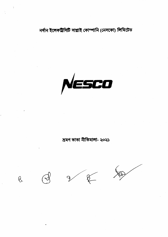$Q$ 

 $\sqrt{2}$ 



ভ্ৰমণ ভাতা নীতিমালা- ২০২১



নৰ্দান ইলেকট্ৰিসিটি সাপ্লাই কোম্পানি (নেসকো) লিমিটেড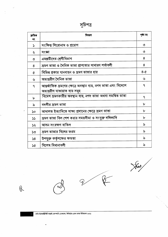| সাচপএ |
|-------|
|       |

 $\mathbf{v}^{\dagger}$ 

 $\overline{\phantom{a}}$ 

 $\ddot{\phantom{0}}$ 

 $\partial$ 

ķ,

 $\frac{1}{2}$ 

| ক্ৰমিক<br>নং  | বিবরণ                                                                                             | পৃষ্ঠা নং         |
|---------------|---------------------------------------------------------------------------------------------------|-------------------|
| $\mathcal{L}$ | সংক্ষিপ্ত শিরোনাম ও প্রয়োগ                                                                       | ৩                 |
| ২             | সংজ্ঞা                                                                                            | ৩                 |
| ৩             | এমপ্লয়ীদের শ্রেণীবিভাগ                                                                           | 8                 |
| 8             | ম্রমণ ভাতা ও দৈনিক ভাতা প্রাপ্যতার সাধারণ শর্তাবলী                                                | 8                 |
| Q             | বিভিন্ন প্রকার যানবাহন ও ভ্রমণ ভাতার হার                                                          | $8 - 6$           |
| ৬             | অভ্যন্তরীণ দৈনিক ভাতা                                                                             | ৬                 |
| ٩             | আন্তর্জাতিক ভ্রমণের ক্ষেত্রে অবস্থান ব্যয়, নগদ ভাতা এবং বিদেশে<br>অভ্যন্তরীণ যাতায়াত ব্যয় সমূহ | ٩                 |
| ৮             | বিদেশ ভ্ৰমণকারীর অবস্থান ব্যয়, নগদ ভাতা অথবা সমন্বিত ভাতা                                        | ٩                 |
| ৯             | বদলীর ভ্রমণ ভাতা                                                                                  | ৮                 |
| ১০            | আদালত ইত্যাদিতে সাক্ষ্য প্রদানের ক্ষেত্রে ভ্রমণ ভাতা                                              | ৮                 |
| 55            | ম্রমণ ভাতা বিল পেশ করার সময়সীমা ও সংযুক্ত দলিলাদি                                                | ৮                 |
| ১২            | আসন সংরক্ষণ বাতিল                                                                                 | ৯                 |
| ১৩            | ভ্রমণ ভাতার বিলের ফরম                                                                             | $\mathbf{\delta}$ |
| $\mathsf{S}8$ | উপযুক্ত কর্তৃপক্ষের ক্ষমতা                                                                        | ৯                 |
| ১৫            | বিশেষ বিধানাবলী                                                                                   | ৯                 |

JAN



 $\mathcal{P}$ 

 $\ddot{\phantom{0}}$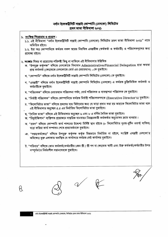# নৰ্দান ইলেকট্ৰিসিটি সাপ্লাই কোম্পানি (নেসকো) লিমিটেড ম্ৰমণ ভাতা নীতিমালা ২০২১

1

| ১. সংক্ষিপ্ত শিরোনাম ও প্রয়োগ :<br>১.১. এই নীতিমালা "নৰ্দান ইলেকট্ৰিসিটি সাপ্লাই কোম্পানি (নেসকো) লিমিটেড ভ্ৰমণ ভাতা নীতিমালা ২০২১" নামে<br>অভিহিত হইবে।                                                                                                          |
|--------------------------------------------------------------------------------------------------------------------------------------------------------------------------------------------------------------------------------------------------------------------|
| ১.২. ইহা অত্র কোম্পানিতে কর্মরত সকল স্তরের নিয়মিত এমপ্লয়ীজ (কর্মকর্তা ও কর্মচারী) ও পরিচালকবৃন্দের জন্য<br>প্ৰযোজ্য হইবে।                                                                                                                                        |
| ২. <b>সংজ্ঞাঃ</b> বিষয় বা প্রয়োগের পরিপন্থী কিছু না থাকিলে এই নীতিমালায় উল্লিখিত<br>ক. "উপযুক্ত কৰ্তৃপক্ষ" বলিতে নেসকোতে বিদ্যমান Administrative/Financial Delegation দ্বারা ক্ষমতা<br>প্রাপ্ত কর্মকর্তা (ক্ষেত্রমতে নেসকোতে বোর্ড এর চেয়ারম্যান) –কে বুঝাইবে। |
| খ, "কোম্পানি" বলিতে নর্দান ইলেকট্রিসিটি সাপ্লাই কোম্পানি লিমিটেড (নেসকো) কে বুঝাইবে।                                                                                                                                                                               |
| গ, "এমপ্লয়ী" বলিতে নৰ্দান ইলেকট্ৰিসিটি সাপ্লাই কোম্পানি লিমিটেড (নেসকো) এ কৰ্মরত চুক্তিভিত্তিক কৰ্মকৰ্তা ও<br>কর্মচারীকে বুঝাইবে।                                                                                                                                 |
| ঘ. "পরিচালক" বলিতে চেয়ারম্যান পরিচালনা পর্যদ, বোর্ড পরিচালক ও ব্যবস্থাপনা পরিচালক কে বুঝাইবে।                                                                                                                                                                     |
| ঙ, "নিৰ্বাহী পরিচালক" বলিতে কোম্পানিতে কৰ্মরত নিৰ্বাহী পরিচালকগণকে (Executive Director's) বুঝাইবে।                                                                                                                                                                 |
| চ, "কিলোমিটার ভাতা" বলিতে ভ্রমণের ব্যয় মিটানোর জন্য যে ভাড়া প্রদান করা হয় তাহাকে কিলোমিটার ভাতা বলে<br>এই নীতিমালার অনুচ্ছেদ ৫.৫ এর নির্ধারিত কিলোমিটার ভাতা বুঝাইবে।                                                                                           |
| ছ, "দৈনিক ভাতা" বলিতে এই নীতিমালার অনুচ্ছেদ ৬ এবং ৮ এ বর্ণিত দৈনিক ভাতা বুঝাইবে।<br>জ. "রিকুইজিশান" ব্যক্তিগত প্রয়োজনে দাপ্তরিক যানবাহন নিয়ন্ত্রনকারী কর্মকর্তার অনুমোদন ক্রমে ব্যবহার।                                                                          |
| ব্ম. "ভ্রমণ" বলিতে কোম্পানি কার্য পালনের উদ্দেশ্য নির্দিষ্ট স্থান হইতে (৮ কিলোমিটার দুরত-রুটিন ওয়ার্ক্ ব্যতিত)<br>যাত্রা করিয়া কার্য সম্পাদন শেষে প্রত্যাবর্তনকে বুঝাইবে।                                                                                        |
| ঞ "দপ্তর/কর্মক্ষেত্র" বলিতে উপযুক্ত কর্তৃপক্ষ কর্তৃক ভিন্নভাবে নির্ধারিত না হইলে, সংশ্লিষ্ট এমপ্লয়ী নেসকো'র<br>অধিক্ষেত্র ভূক্ত এলাকায় অবস্থিত যে কার্যালয়ে কর্মরত সেই কার্যালয় বুঝাইবে।                                                                       |
| ট, "পরিবার" বলিতে কোন কর্মকর্তা/কর্মচারীর ১জন স্ত্রী / স্ত্রী গণ বা ক্ষেত্রমত স্বামী এবং উক্ত কর্মকর্তা/কর্মচারীর উপর<br>সম্পূর্ণভাবে নির্ভরশীল সন্তানদেরকে বুঝাইবে।                                                                                               |
|                                                                                                                                                                                                                                                                    |
|                                                                                                                                                                                                                                                                    |
|                                                                                                                                                                                                                                                                    |
|                                                                                                                                                                                                                                                                    |

 $\mathcal{U}$ 

 $\varphi$ 

 $\circ$ 

 $\ddot{\phantom{0}}$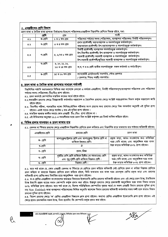## ৩. এমপ্লয়ীদের শ্রেণি বিভাগ

ভ্ৰমণ ভাতা ও দৈনিক ভাতা প্ৰাপ্যতা নিৰ্ধারণের উদ্দেশ্যে পরিচালক/এমপ্লয়ীগণ নিম্নবর্ণিত শ্রেণিতে বিভক্ত হইবে, যথা:

|     | শ্ৰেণি   | গ্ৰেড                              | পদবী                                                                                                                                                                                                                                                                                          |
|-----|----------|------------------------------------|-----------------------------------------------------------------------------------------------------------------------------------------------------------------------------------------------------------------------------------------------------------------------------------------------|
| ত.১ | ক-শ্ৰেণি | ১ ও ২ তম গ্ৰেড                     | পরিচালনা পর্যদের সদস্য (পরিচালক), ব্যবস্থাপনা পরিচালক/ নির্বাহী পরিচালকবৃন্দ।                                                                                                                                                                                                                 |
| ৩.২ | খ-শ্ৰেণি | ৩ ও ৪ তম গ্রেড                     | প্ৰধান প্ৰকৌশলী/ মহাব্যবস্থাপক ও সমপৰ্যায়ভূক্ত কৰ্মকৰ্তাবৃন্দ।<br>তত্ত্বাবধায়ক প্ৰকৌশলী/ উপ-মহাব্যবস্থাপক ও সমপৰ্যায়ভূক্ত কৰ্মকৰ্তাবৃন্দ।                                                                                                                                                  |
| ৩.৩ | গ-শ্ৰেণি | ৫, ৬,৭ও ৮ তম গ্রেড                 | নিৰ্বাহী প্ৰকৌশলী/ ব্যবস্থাপক সমপৰ্যায়ভুক্ত কৰ্মকৰ্তাবৃন্দ।<br>উপ-বিভাগীয় প্রকৌশলী/ উপ-ব্যবস্থাপক ও সমপর্যায়ভূক্ত কর্মকর্তাবৃন্দ।<br>সহকারী প্রকৌশলী/ সহকারী ব্যবস্থাপক ও সমপর্যায়ভূক্ত  কর্মকর্তাবৃন্দ।<br>উপ-সহকারী প্রকৌশলী/জুনিয়র সহকারী ব্যবস্থাপক ও সমপর্যায়ভূক্ত কর্মকর্তাবৃন্দ। |
| ৩.8 | ঘ-শ্ৰেণি | ৯, ১০, ১১, ১২,<br>১৩ ও ১৪ তম গ্রেড | ক,খ, গ ও ঙ শ্রেণী ব্যতীত সমপর্যায়ভূক্ত সকল কর্মকর্তা ও কর্মচারীবৃন্দ।                                                                                                                                                                                                                        |
| ৩.৫ | ঙ-শ্ৰেণি | ১৫ ও ১৬ তম গ্ৰেড                   | ল্যাববেটরী এ্যাটেনডেন্ট/ সমপর্যায়, স্টোর হেলপার<br>/ হেলপার/ পিয়ন/ দপ্তরী/ সমপর্যায়।                                                                                                                                                                                                       |

# <u>৪. ভ্রমণ ভাতা ও দৈনিক ভাতা প্রাপ্য</u>তার সাধারণ শর্তাবলী

নিয়লিখিত শর্তাদি যথাযথভাবে নিশ্চিত করা সাপেক্ষে নেসকো এ কর্মরত এমপ্লয়ীগণ, নির্বাহী পরিচালকবৃন্দ/ব্যবস্থাপনা পরিচালক এবং পরিচালনা পর্ষদের সদস্য (পরিচালক) টিএ/ডিএ প্রাপ্য হইবেন:

৪.১. ভ্রমণ অবশ্যই কোম্পানির দাপ্তরিক কাজের স্বার্থে হইতে হইবে।

- ৪.২.অভ্যন্তরীণ ভ্রমণের ক্ষেত্রে নিয়ন্ত্রনকারী কর্মকর্তার দপ্তরাদেশ ও বৈদেশিক ভ্রমণের ক্ষেত্রে সংশ্লিষ্ট দপ্তর/প্রশাসন বিভাগ কর্তৃক দপ্তরাদেশ জারি হইতে হইবে।
- ৪.৩. বিভাগীয় পরীক্ষা, পদোন্নতির লক্ষ্যে লিখিত/মৌখিক পরীক্ষায় অংশ গ্রহণের জন্য ভ্রমণের ক্ষেত্রে নিজ পদমর্যাদা অনুযায়ী এই সুবিধা প্রাপ্য হইবেন। একই পদের ক্ষেত্রে সর্বোচ্চ ২ বার এই সুবিধা প্রাপ্য হইবেন।
- 8.8. সাময়িক বরখান্ত কালীন সময়ে কোন এমপ্লয়ী টিএ /ডিএ প্রাপ্য হইবেন না।
- ৪.৫. এই নীতিমালার অনুচ্ছেদ ১১.১ এ সময়সীমার মধ্যে ভ্রমণ বিল সংশ্লিষ্ট কর্তৃপক্ষ এর নিকট দাখিল করিতে হইবে।

## ৫. বিভিন্ন প্রকার যানবাহন ও ভ্রমণ ভাতার হার

৫.১. রেলপথ বা স্টিমার ভ্রমণের ক্ষেত্রে এমপ্লয়ীগণ নিম্নবর্ণিত শ্রেণিতে ভ্রমণ করিবার এবং নিমবর্ণিত হারে যাতায়াত ব্যয় পাইবার অধিকারী হইবেন:

| এমপ্লয়ীদের শ্রেণি | ভ্রমনের শ্রেণি                                                                                         | দ্ৰমণ ভাতা                                                                         |
|--------------------|--------------------------------------------------------------------------------------------------------|------------------------------------------------------------------------------------|
| ক- শ্ৰেণি          | তাপানুকুল/স্লিপার শ্রেণি এবং তাপানুকুল/ স্লিপার শ্রেণি না<br>থাকিলে উচ্চতর শ্রেণি।                     | প্রকৃত ভাড়া, আসন সংরক্ষণের জন্য অতিরিক্ত<br>খরচ (যদি থাকে) এবং আনুষজ্ঞিক খরচ বাবদ |
| খ-শ্ৰেণি           |                                                                                                        | উক্ত ভাড়ার অতিরিক্ত ৫০% প্রাপ্য হইবেন।                                            |
| গ- শ্ৰেণি          | প্ৰথম /মিগ্ধা                                                                                          |                                                                                    |
| ঘ- শ্ৰেণি          | দুইটির বেশি শ্রেণি থাকিলে দ্বিতীয় (বা সমমানের) শ্রেণি<br>এবং শুধু দুইটি শ্রেণি থাকিলে নিম্নতর শ্রেণী। | প্রকৃত ভাড়া, আসন সংরক্ষণের জন্য অতিরিক্ত<br>খরচ (যদি থাকে) এবং আনুষঙ্গিক খরচ বাবদ |
| ঙ- শ্ৰেণি          | নিম্নতর শ্রেণী।                                                                                        | উক্ত ভাড়ার অতিরিক্ত ৮০% প্রাপ্য হইবেন।                                            |

৫.২. তবে শর্ত থাকে যে, কোন এমপ্লয়ী রেলপথ বা স্টিমারে যে শ্রেণিতে ভ্রমণ করিতে অধিকারী সেই শ্রেণিতে ভ্রমণ না করিয়া নিম্নতর শ্রেণিতে ভ্রমণ করিলে বা তাহাকে নিম্নতর শ্রেণিতে ভ্রমণ করিতে হইলে, তিনি যাতায়াত ব্যয় বাবদ খরচ ভ্রমণকৃত শ্রেণির প্রকৃত ভাড়া এবং ভ্রমণের অধিকারী প্রাপ্য শ্রেণির জন্য নির্ধারিত হারে আনুষঙ্গিক খরচ প্রাপ্য হইবেন।

৫.৩. ক-খ শ্রেণির এমপ্লয়ীগণ বাংলাদেশের অভ্যন্তরে বিমানের ইকোনোমি শ্রেণির ভ্রমণের অধিকারী হইবেন এবং এই ক্ষেত্রে ভ্রমণ ট্যাক্স, টারমিনাল ট্যাক্স ইত্যাদি প্রকৃত ব্যয়ের সমান কোম্পানি কর্তৃক প্রদান করা হইবে। উক্তরূপ ভ্রমণের ক্ষেত্রে ভ্রমণকারী আনুষজ্ঞিক খরচ বাবদ বিমান ভাড়ার ২০% অতিরিক্ত প্রাপ্য হইবেন। তবে শর্ত থাকে যে, বিশেষ পরিস্থিতিতে কোম্পানির বৃহত্তর স্বার্থে যে সকল এমপ্লয়ী বিমান ভ্রমনের সুবিধা প্রাপ্য নন( Not- Entitled) তারা ব্যবস্থাপনা পরিচালকের লিখিত অনুমতি স্বাপেক্ষে বিমান ভ্রমনের অধিকারী কর্মকর্তার সফর সঙ্গী হলে তারাও বিমান ভ্রমনের সুবিধা প্রাপ্য হইবেন।

৫.৪. বিদেশ ভ্রমণের ক্ষেত্রে 'ক' শ্রেণির এমপ্লয়ীগণ বিজনেস ক্লাস প্রাপ্য হইবেন। অন্যান্য শ্রেণির এমপ্লয়ীগণ ইকোনোমি ক্লাস প্রাপ্য হইবেন। এই ক্ষেত্রে প্রদেয় ভ্রমণজনিত সকল ট্যাক্স, ভিসা প্রসেসিং ফি কোম্পানি কর্তৃক প্রদান করা হইবে।

নৰ্দান ইলেকট্ৰিসিটি সাপ্লাই কোম্পানি (নে; কো) লিমিটেড ম্ৰমণ ভাতা নীতিমাল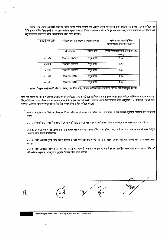৫.৫. সড়ক পথে কোন এমপ্লয়ীর ভ্রমণের ক্ষেত্রে ভাড়া প্রদান করিতে হয় এইরুপ কোন যানবাহনে উক্ত এমপ্লয়ী সড়ক পথে ভ্রমণ করিলে এই নীতিমালায় বর্ণিত বিধানাবলী মোতাবেক ভাউচার প্রদান সাপেক্ষে তিনি যানবাহনের ভাড়ার দ্বিগুন ব্যয় এবং অনুমোদিত যানবাহন ও ভাউচার এর অনুপস্থিতিতে নিম্নবর্ণিত হারে কিলোমিটার ভাড়া প্রাপ্য হইবেন:

| এমপ্লয়ীদের শ্রেণি | ভাউচার প্রদান সাপেক্ষে যানবাহনের ভাড়া |              | ভাউচার এর অনুপস্থিতিতে<br>কিলোমিটার ভাড়ার হার (টাকা) |
|--------------------|----------------------------------------|--------------|-------------------------------------------------------|
|                    | বাসের ধরন                              | ভাড়ার হার   | প্রেতি কিলোমিটার বা উহার অংশের                        |
| ক- শ্ৰেণি          | শীতাতাপ নিয়ন্ত্ৰিত                    | দ্বিগুন হারে | জন্যে)<br>9.00                                        |
| খ-শ্ৰেণি           | শীতাত্মপ নিয়ন্ত্ৰিত                   | দ্বিগুন হারে | ৬.৫০                                                  |
|                    |                                        |              |                                                       |
| গ- শ্ৰেণি          | শীতাতাপ নিয়ন্ত্ৰিত                    | দ্বিগুন হারে | 6.00                                                  |
| ঘ- শ্ৰেণি          | শীতাতাপ বিহীন                          | দ্বিগুন হারে | 0.00                                                  |
| ঙ- শ্ৰেণি          | শীতাতাপ বিহীন                          | দ্বিগুন হারে | 0.00                                                  |

ব্যাখ্যা: **"সড়ক পথে ভ্ৰমণ"** বলিতে বিমান, রেলগাড়ি, লঞ্চ, স্টিমার ব্যতীত সকল যানবাহন যোগেও ভ্ৰমণ অন্তর্ভূক্ত হইবে।

তবে শর্ত থাকে যে, ক ও খ শ্রেণির এমপ্লয়ীগণ কিলোমিটার ভাড়ার পরিবর্তে ট্যাক্সি/স্কুটার এর প্রকৃত ভাড়া গ্রহণ করিতে পারিবেন। ভ্রমণের দূরত ২০ কিলোমিটারের মধ্যে হইলে অন্যান্য শ্রেণির এমপ্লয়ীগণ সড়ক পথে কানেকটিং ভ্রমণের ক্ষেত্রে কিলোমিটার হারে (অনুচ্ছেদ ৫.৫ অনুযায়ী) ভাড়া প্রাপ্য হইবেন। এক্ষেত্রে নেসকো কর্তৃক প্রদত্ত নির্ধারিত ফরমে বিল দাখিল করিতে হইবে।

৫.৫.১. ভ্রমণের ব্যয় নির্বাহের উদ্দেশ্যে কিলোমিটার ভাতা প্রদান করা হইবে এবং আরম্ভস্থল ও ভ্রমণস্থলের দূরতের ভিত্তিতে উহা নির্ধারিত হইবে।

৫.৫.২. কিলোমিটার ভাতা নির্ধারণের উদ্দেশ্যে দুইটি স্থানের মধ্যে স্বল্প দূরত বা অধিকতর সুবিধাজনক পথে ভ্রমণ অনুমোদন করা হইবে।

৫.৫.৩. যে পথে স্বল্প সময়ে ভ্রমণ করা যায় তাহাই স্বল্প দূরত পথে ভ্রমণ বলিয়া গণ্য হইবে। তবে এই ব্যাপারে কোন সন্দেহ থাকিলে উপযুক্ত কর্তৃপক্ষ তাহা নির্ধারণ করিবেন।

৫.৫.৪. কোন এমপ্লয়ী দূরত পথে ভ্রমণ করিলে ও উহা যদি স্বল্প ব্যয় সম্পন্ন হয় তাহা হইলে এইরুপ স্বল্প ব্যয় সম্পন্ন পথে ভ্রমণ বাবদ ভাতা পাবেন।

৫.৫.৫. কোন এমপ্লয়ী কোম্পানির কোন যানবাহনে বা কোম্পানি কর্তৃক ভাড়াকৃত বা অন্যবিধভাবে সংগৃহীত যানবাহনে ভ্রমণ করিলে তিনি এই নীতিমালার অনুচ্ছেদ ৬ অনুসারে শুধুমাত্র দৈনিক ভাতা প্রাপ্য হইবেন।



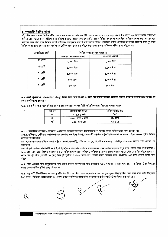#### <u>৬. অভ্যন্তরীণ দৈনিক ভাতা</u>

এই প্রবিধানের অন্যান্য বিধানাবলীর শর্ত পালন সাপেক্ষে কোন এমপ্লয়ী দেশের অভ্যন্তরে তাহার হেড কোয়ার্টার হইতে ২০ কিলোমিটার ব্যাসার্ধের বাহিরে কোন স্থানে ভ্রমণ করিলে এবং এইরুপ ভ্রমণের কারণে হেড কোয়ার্টার হইতে নির্দিষ্ট সময়কাল অনুপস্থিত থাকিতে হইলে উক্ত সময়ের ব্যয় নির্বাহের জন্য প্রাপ্য হারে দৈনিক ভাতা পাইবেন। অবস্থানের কারণে ক্যালেন্ডারে তারিখ পরিবর্তিত হইলে প্রতিদিন বা দিনের অংশের জন্য পূর্ণ হারে দৈনিক ভাতা প্ৰাপ্য হইবেন। তবে শর্ত থাকে দৈনিক ভাতা গ্রহণ করা হইলে উক্ত সময়ের জন্য অধিকাল সুবিধা প্রাপ্য হইবেন না।

| এমপ্লয়ীদের শ্রেণি | দৈনিক ভাতা (দেশের অভ্যন্তরে) |                |  |  |
|--------------------|------------------------------|----------------|--|--|
|                    | ব্যয়বহল নয় এমন এলাকা       | ব্যয়বহল এলাকা |  |  |
| ক- শ্ৰেণি          | ১,৫০০ টাকা                   | ২,০০০ টাকা     |  |  |
| - খ-শ্ৰেণি         | ১,২০০ টাকা                   | ১,৫০০ টাকা     |  |  |
| গ- শ্ৰেণি          | ১,০০০ টাকা                   | ১,২০০ টাকা     |  |  |
| ঘ- শ্ৰেণি          | ৯০০ টাকা                     | ১,০০০ টাকা     |  |  |
| ঙ- শ্ৰেণি          | ৭৫০ টাকা                     | ৯০০ টাকা       |  |  |

৬.১. একই পুজিকা (Calender day) দিনে গন্তব্য স্থলে যাওয়া ও গন্তব্য স্থল হইতে ফিরিয়া আসিলে দৈনিক ভাতা বা কিলোমিটার ভাতার যে কোন একটি প্ৰাপ্য হইবেন।

ঙ.২. যাত্রার দিন গন্তব্য স্থলে পৌছানোর পর হইতে অবস্থান কালের ভিত্তিতে দৈনিক ভাতা নিম্নহারে পাওয়া যাইবে।

| ক্ৰঃ নং | অবস্থান কাল (ঘন্টা | দৈনিক ভাতার হার |
|---------|--------------------|-----------------|
|         | ০  হতে ৪ ঘন্টা     | "^"             |
|         | ৪.০১ হতে ৮ ঘন্টা   | অর্ধ হারে       |
|         | ৮.০১ হতে উর্দ্ধে   | পন হারে         |

৬.৩.১. অনলাইনে (প্রশিক্ষণ/ সেমিনার/ ওয়ার্কশপ/ কনভেনশন/ সভা) ইত্যাদিতে অংশ গ্রহনের ক্ষেত্রে দৈনিক ভাতা প্রাপ্য হইবেন না।

৬.৩.২. প্রশিক্ষন / সেমিনার/ ওয়ার্কশপ/ কনভেনশন/ সভা ইত্যাদি আয়োজনকারী কর্তৃপক্ষ কর্তৃক দৈনিক ভাতা প্রদান করা হইলে নেসকো হইতে দৈনিক ভাতা প্রাপ্য হইবেন না।

ঙ.৪. ব্যয়বহল এলাকা বলিতে- ঢাকা, চট্টগ্রাম, খুলনা, রাজশাহী, বরিশাল, রংপুর, সিলেট, নারায়নগঞ্জ ও গাজীপুর শহর এবং সাভার পৌর এলাকা বে বোঝাইবে।

ঙ.৫. পাহাড়ী এলাকা- রাঙ্গামাটি, কাপ্তাই, খাগড়াছড়ি ও বান্দরবান এলাকায় ব্যয়বহল নয় এমন এলাকার হারের দ্বিগুন হারে দৈনিক ভাতা প্রাপ্য হইবেন। ৬.৬. কোন এক স্থানে বিশেষ অনুমোদন ক্রমে অধিককাল অবস্থান করিলে / করিবার প্রয়োজন হইলে অবস্থান স্থানে পৌঁছানোর দিন হইতে প্রথম ১০ (দশ) দিন পূর্ণ হারে ,পরবর্তী ১০ (দশ) দিন দুই তৃতীয়াংশ (২/৩) হারে এবং পরবর্তী সকল দিবসের জন্য অর্ধহারে( ১/২) হারে দৈনিক ভাতা প্রাপ্য হইবেন।

৬.৭. কোন এমপ্লয়ী গাড়ি রিকুইজিশন নিয়ে ভ্রমণ করিলে কোম্পানির গাড়ি চালকের ডিউটি দাপ্তরিক হিসেবে গণ্য হইবে। ব্যক্তিগত রিকুইজিশনের ক্ষেত্রে কোন আর্থিক সুবিধা প্রাপ্য হইবেন না।

৬.৭. (ক) গাড়ী রিকুইজিশন এর ক্ষেত্রে প্রতি কিঃ মিঃ ২/- টাকা এবং অপেক্ষামান সময়ের (অবস্থানকালীন/হল্টেজ) জন্য চার্জ প্রতি ঘন্টা জীপ/কার ১০/- টাকা , মিনিবাস /মাইক্রোবাস ১৫/-হইবে। তবে ব্যাক্তিগত কাজে নিজ কর্মক্ষেত্রের বাহিরে গাড়ি রিকুইজিশন করা যাইবে না।

নৰ্দান ইলেকট্ৰিসিটি সাপ্লাই কোম্পানি (নেসকো) লিমিটেড ভ্ৰমণ ভাতা নীতিমালা ২০২১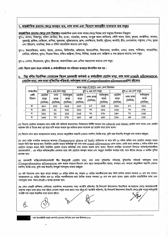### ৭. আন্তর্জাতিক ভ্রমণের ক্ষেত্রে অবস্থান ব্যয়, নগদ ভাতা এবং বিদেশে অভ্যন্তরীণ যাতায়াত ব্যয় সমূহঃ

<mark>আন্তর্জাতিক ম্রমণের ক্ষেত্রে দেশ বিভাজন</mark>-আন্তর্জাতিক ম্রমণ ভাতা পাবার ক্ষেত্রে বিশ্বের দেশ সমূহের বিভাজন নিম্নরূপঃ

গুপ-১: জাপান, সিঙ্গাপুর, দক্ষিণ কোরিয়া, চীন, হংকং, বাহরাইন, কাতার, সংযুক্ত আরব আমিরাত, সৌদি আরব, ইরান, কুয়েত, অস্ট্রেলিয়া, কানাডা, যুক্তরাষ্ট্র, ব্রাজিল, মেক্সিকো, রাশিয়া, যুক্তরাজ্য, সুইজারল্যান্ড, ফ্রান্স, বেলজিয়াম, ইতালি, সুইডেন, জার্মানি, গ্রীস, নেদারল্যান্ড, পর্তুগাল, স্পেন, তুরস্ক এবং ইউরোপ, ওসানিয়া, উত্তর ও দক্ষিণ আমেরিকা অন্যান্য দেশ সমূহ।

গুপ-২: উজবেকিস্তান, জর্ডান, ইরাক, লেবানন, ফিলিপাইন, থাইল্যান্ড, ইন্দোনেশিয়া, মিয়ানমার, মালদ্বিপ, ওমান, ভারত, পাকিন্তান, মালয়েশিয়া, কেনিয়া, মরিশাস, সুদান, সিয়েরা লিয়ন, দক্ষিন আফ্রিকা, মিশর, লিবিয়া, মরোরু এবং আফ্রিকা ও মধ্য প্রাচ্যের অন্যান্য দেশ সমূহ।

গ্রুপ-৩: নেপাল, ভিয়েতনাম, ভুটান, শ্রীলংকা, আফগানিস্তান এবং এশিয়া মহাদেশের অন্যান্য দেশ সমূহ।

নোট: বিদেশ ভ্রমণ কালে কর্মকর্তা ও কর্মচারীগণকে গণ-পরিবহণ ব্যবহারে উৎসাহিত করা হয়।

# ৮. নিয় বর্ণিত নির্দেশিকা মোতাবেক বিদেশ ভ্রমণকারী কর্মকর্তা ও কর্মচারীগণ হোটেল ভাড়া, নগদ ভাতা (Cash allowance, (হোটেল ভাড়া, নগদ ভাতা সুবিধাদির পরিবর্তে) সর্বসাকুল্য ভাতা (Comprehensive allowance)প্রাপ্য হইবেনঃ

|           | ভাতা সমূহ ( $\bold{USD}$ ) এবং দেশ বিভাজন |                     |             |         |                     |           |                     |          |           |
|-----------|-------------------------------------------|---------------------|-------------|---------|---------------------|-----------|---------------------|----------|-----------|
| কর্মচারীর |                                           | গ্রুপ-১ এর দেশ সমূহ |             |         | গ্রুপ-২ এর দেশ সমূহ |           | গ্রুপ-৩ এর দেশ সমূহ |          |           |
| শ্ৰেণী    | হোটেল                                     | নগদ                 | সর্বসাকুল্য | হোটেল   | নগদ ভাতা            | সৰসাকুল্য | হোটেল               | নগদ ভাতা | সবসাকুল্য |
| বিভাগ     | ভাড়া                                     | ভাতা                | ভাতা        | ভাডা    | (দৈনিক)             | ভাতা      | ভাড়া               | (দৈনিক)  | ভাতা      |
|           | (দৈনিক)                                   | (দৈনিক)             | (দৈনিক)     | (দৈনিক) |                     | (দৈনিক)   | (দৈনিক)             |          | (দৈনিক)   |
| ক         | ২৮০                                       | ১০১                 | ২৬৩         | ২৩০     | ৮৭                  | ২১৫       | ১৯৬                 | ৮৭       | ১৯৬       |
| খ         | ২৪৬                                       | ৯১                  | ২৩১         | ১৯৬     | ۹۹                  | ১৯৬       | ১৬৫                 | ۹۹       | ১৭৮       |
| গ         | ১৯৬                                       | ৯১                  | ২১৫         | ১৬৫     | 99                  | ১৭৮       | ১৫০                 | ۹۹       | ১৬৫       |
| ঘ         | ১৬৫                                       | ۹۹                  | ১৭৮         | ১৫০     | ৬8                  | ১৫০       | ১১৬                 | ৬8       | ১৩১       |

(খ) বিদেশে হোটেলে অবস্থারত কোন ব্যক্তি যদি অনিবার্য কারনবশতঃ নিক্ষমণের নির্দিষ্ট সময়ের পরে (check out time) হোটেল ত্যাগ করেন এবং হোটেল কর্তৃপক্ষ যদি ঐ দিনের জন্য পূর্ণ হারে দাবি করেন তাহলে মূল ভাউচার প্রদান সাপেক্ষে পূর্ণ হোটেল ভাড়া প্রাপ্য হবেন।

(গ) বিদেশে কোন স্থানে অবস্থানকালে আহার, অন্যান্য আনুষশ্বিক খরচাদি (যেমনঃ বকশিশ, ট্যাক্সি ভাড়া, কুলি খরচ ইত্যাদি) উপযুর্ক্ত নগদ ভাতার অর্ন্তুক্ত।

(ঘ) কোন ব্যক্তি সাময়িক অবস্থানের জায়গায় (Temporary place of halt) রাত্রিযাপন না করে যদি ১২ ঘন্টার অধিক কাল হোটেলে অবস্থান করেন তাহলে তিনি উক্ত স্থানের জন্য নির্ধারিত হোটেল ভাড়ার অতিরিক্ত পূর্ণ নগদ ভাতা (cash allowance) প্রাপ্য হবেন। একই ভাবে কোথাও ৬ ঘন্টার অধিক কাল হোটেলে অবস্থান করলে তিনি নির্ধারিত হোটেল ভাড়ার অতিরিক্ত নগদ ভাতার অর্ধেক প্রাপ্য হবেন। বিদেশে অবস্থিত বাংলাদেশ মিশনের কর্মকর্তা/কর্মচারীগণ হেডকোয়াটার্স \_ এর বাইরে অধিক্ষেত্রাধীন এলাকার মধ্যে যদি হোটেলে অবস্থান করেন এবং অনুরূপ সাময়িক অবস্থান ঘটে, তবে তাঁদের ক্ষেত্রেও এ আর্থিক সুবিধা প্ৰযোজ্য হবে।

(ঙ) ভ্রমণকারী ব্যক্তি/কর্মকর্তা/কর্মচারী স্বীয় ইচ্ছানুযায়ী (হোটেল ভাড়া, নগদ ভাতা সুবিধাদির পরিবর্তে পরিবর্তে সর্বসাকুল্য ভাতা (Comprehensive allowance) গ্রহণ করতে পারবেন।বিদেশে কোন স্থানে অবস্থানকালীন আহার, বাসস্থান এবং অন্যান্য আনুষঙ্গিক খরচাদি (যেমনঃ বকশিশ, ট্যাক্সি ভাড়া, কুলি খরচ ইত্যাদি) উপযুর্ক্ত সর্বসাকুল্য ভাতার অর্ন্তভুক্ত।

(চ) যদি বিদেশের কোন স্থানে কারো অবস্থান ২০ রাত্রির অধিক হয়, তাহলে ২০ রাত্রির পরবর্তীকালের জন্য তিনি দৈনিক ভাতার শতকরা ১০ ভাগ কম পাবেন। অবস্থানকালে ৪০ রাত্রির অধিক হলে ৪০ রাত্রির পরবর্তীকালের জন্য দৈনিক ভাতার শতকরা ১৫ ভাগ কম প্রাপ্য হবেন। প্রকৃত হোটেল ভাড়াভিত্তিক ভাতা এবং সর্বসাকুল্য ভাতা উভয় ক্ষেত্রেই এ ব্যবস্থা প্রযোজ্য হবে।

(ছ) কোন এমপ্লয়ী প্রশিক্ষণ/ সেমিনার/ ওয়ার্কশপ/ কনভেনশন/ সভা/ ফ্যাক্টরি পুরিদর্শন/ প্রি-শিপমেন্ট ইন্দেপকশন ইত্যাদিতে অংশগ্রহণের ক্ষেত্রে আয়োজনকারী কর্তৃপক্ষ কর্তৃক ভাতা প্রদান করা হইলে নেসকো কর্তৃক ভাতা প্রদান করা হইন্তে র্মা। ফ্যাক্টরি পরিদর্শন, প্রি-শিপমেন্ট ইন্সপেকশন ইত্যাদি ক্ষেত্রে চুক্তি পত্রের শর্তানুযায়ী সংশ্লিষ্ট পক্ষ কর্তৃক উল্লেখিত ভাতা প্রদেয় হইবে।

নৰ্দান ইলেকট্ৰিসিটি সাপ্লাই কোম্পানি (নেসকো) লিমিটেড ম্ৰমণ ভাতা নীতিমালা ২০২১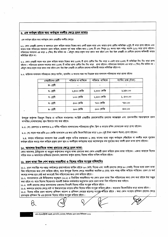#### ৯. এক কর্মস্থল হইতে অন্য কর্মস্থলে বদলীর ক্ষেত্রে ভ্রমণ ভাতাঃ

এক কর্মস্থল হইতে অন্য কর্মস্থলে কোন এমপ্লয়ীর বদলীর ক্ষেত্রেঃ

৯.১. কোন এমপ্লয়ী রেলপথ বা জলযানে ভ্রমণ করিলে তাহার নিজের জন্য একটি প্রকৃত ভাড়া এবং তাহার প্রাপ্য অতিরিক্ত ২(দুই) টি ভাড়া প্রাপ্য হইবেন এবং তাহার সঙ্গে পরিবারের সদস্যগণ ভ্রমণ করিলে, প্রত্যেক পূর্ণ বয়স্ক ব্যক্তির জন্য ১ (এক) টি এবং শিশুর (১২ বৎসর বয়স পর্যন্ত) অর্ধেক (১/২) ভাড়া প্রাপ্য হইবেন। পরিবারের সদস্যগণ এর ভাড়া ৩ (তিন) টির অধিক নয়। এইরুপ ক্ষেত্রে প্রকৃত ভাড়া প্রদান করা হইবে এবং উহা উক্ত এমপ্লয়ী যে শ্রেণীতে ভ্রমণের অধিকারী তাহার অতিরিক্ত হইবে না।

৯.২. কোন এমপ্লয়ী সড়ক পথে ভ্রমণ করিলে তাহার নিজের জন্য ১(এক) টি প্রাপ্য শ্রেণীর কিঃ মিঃ ভাড়া ও একই হারে ১(এক) টি অতিরিক্ত কিঃ মিঃ ভাড়া প্রাপ্য হইবেন। পরিবারের প্রত্যেক সদস্যের জন্য ১(এক) টি করিয়া প্রাপ্য শ্রেণীর কিঃ মিঃ ভাড়া প্রাপ্য হইবেন। পরিবারের সদস্যগণ এর ভাড়া ৩ (তিন) টির অধিক নয়। এইরুপ ক্ষেত্রে প্রকৃত ভাড়া প্রদান করা হইবে এবং উহা উক্ত এমপ্লয়ী যে শ্রেণীতে ভ্রমণের অধিকারী তাহার অতিরিক্ত হইবে না।

৯.৩. ব্যক্তিগত মালামাল পরিবহনের ক্ষেত্রে প্যাকিং, হ্যান্ডলিং ও অন্যান্য খরচ সহ নিম্লোক্ত হারে মালামাল পরিবহনের ভাড়া প্রদেয় হইবেঃ

| এমপ্লয়ীদের শ্রেণী | পরিবার না থাকিলে | থাকিলে<br>পরিবার | প্যাকিং চাৰ্জ (টাকা) |
|--------------------|------------------|------------------|----------------------|
| ক- শ্ৰেণী          |                  |                  |                      |
| খ- শ্ৰেণী          | ১,৫০০ কেজি       | ২,৩০০ কেজি       | ২,২৫০.০০             |
| গ- শ্ৰেণী          | ৮০০ কেজি         | ১,২০০ কেজি       | ১, ৫০০.০০            |
| ঘ- শ্ৰেণী          | ৫০০ কেজি         | ৭০০ কেজি         | 900.00               |
| ঙ- শ্ৰেণী          | ২০০ কেজি         | ৩০০ কেজি         | 800.00               |

উপযুক্ত কর্তৃপক্ষ ভিন্নরুপ সিদ্ধান্ত না থাকিলে সাধারণতঃ সংশ্লিষ্ট এমপ্লয়ীর হেডকোয়ার্টার ভ্রমণের আরম্ভস্থল এবং ভ্রমণকারীর গন্তব্যস্থলকে ভ্রমণ সম্পত্তির (মালামালের) স্থান হিসাবে গণ্য করা হইবে।

৯.৩. (ক) রেলপথে ও জলপথে ৯.৩ বর্ণিত পরিমান মালামালের পরিবহনের বুকিং শ্লিপ ও ভাড়ার রশিদ মোতাবেক ভাড়া প্রাপ্য হইবেন।

৯.৩. (খ) সড়ক পথে প্রতি ১০০ কেজি মালামাল এর জন্য প্রতি কিলোমিটারের ভাড়া ২.৫০ (দুই টাকা পঞ্চাশ পঁয়সা) প্রাপ্য হইবেন।

৯.৪. তাহার পরিবারের সদস্যগণ উক্ত এমপ্লয়ী কর্তৃক দায়িত্ব হস্তান্তরের ৬ (ছয়) মাসের মধ্যে নতুন কর্মস্থলে পৌছাইলে বা বদলীর ফলে পুরাতন কৰ্মস্থল হইতে অন্যত্ৰ গমণ করিলে প্ৰকৃত ভ্ৰমণ স্থান ও বদলীকৃত কৰ্মস্থলের মধ্যে অপেক্ষাকৃত কম দূরতের জন্য বদলী ভ্ৰমণ ভাতা প্রাপ্য হইবেন।

## ১০. আদালত ইত্যাদিতে সাক্ষ্য প্রদানের ক্ষেত্রে ভ্রমণ ভাতা:

কোন আদালত, ট্রাইব্যুনাল বা অনুরুপ কর্তৃপক্ষের সম্মুখে সাক্ষ্য প্রদানের জন্য কোন এমপ্লয়ী ভ্রমণ করিলে ভ্রমন ভাতা পাইবেন। এজন্য তাহাকে বিলের সহিত সমন ও আদালতে হাজিরার প্রমানক (আদালত কর্তৃক প্রদেয়) বিলের সহিত দাখিল করিতে হইবে।

# ১১. ভ্রমণ ভাতা বিল পেশ করার সময়সীমা ও বিলের সহিত সংযুক্ত দলিলাদিঃ

১১.১. ভ্রমণ সমাপ্তির পর দপ্তর/ কর্মক্ষেত্রে প্রত্যাবর্তনের তারিখ হইতে ৬০ (ষাট) দিনের এবং বদলী ভ্রমণের ক্ষেত্রে ৯০ (নব্বই) দিনের মধ্যে ভ্রমণ ভাতা বিল পরিশোধের জন্য পেশ করিতে হইবে, তবে উপযুক্ত বিশেষ ক্ষেত্রে সময়সীমা অনধিক ৪ (চার) মাস পযন্ত বর্ধিত করিতে পারিবেন। ভ্রমণ যে অর্থ বৎসরে সম্পন্ন হবে সেই অর্থ বৎসরেই বিল পরিশোধের জন্য পেশ করিতে হইবে।

১১.২. সাধারণভাবে এই নীতিমালার অনুচ্ছদে (১১.১) এ নির্ধারিত সময়সীমার পর কোন ভ্রমণ ভাতা বিল পরিশোধের জন্য পেশ করা হইলে উহা মঞ্জুর করা হইবে না। তবে বিশেষ বিবেচনায় পরবর্তী উর্ধ্বতন কর্মকর্তার অনুমোদন ক্রমে ভ্রমণ ভাতা বিল পরিশোধ করা যাইবে।

১১.৩. বদলী ভ্রমণের ক্ষেত্রে মালামালের ওজনসহ বিবরণী বিলের সহিত সংযুক্ত করিতে হইবে।

১১.৪. জলপথে ভ্রমণের ক্ষেত্রে ঘাট বা ইজারাদারের ভাড়ার রশিদ বিলের সহিত সংযুক্ত করিতে হইবে। অন্যথায় কিলোমিটার ভাড়া প্রদেয় হইবে। ১১.৫. বিলের সহিত ভ্রমণ আদেশ/ প্রশিক্ষণ আদেশ ও প্রশিক্ষণ কেন্দ্রের ছাড়পত্র সংযুক্ত করিতে হইবে। অন্য কোন সংস্থায় প্রশিক্ষণ গ্রহণের ক্ষেত্রে প্রদানকৃত প্রশিক্ষণ ফি এর প্রমানক বিলের সহিত সংযুক্ত করিতে হইবে।